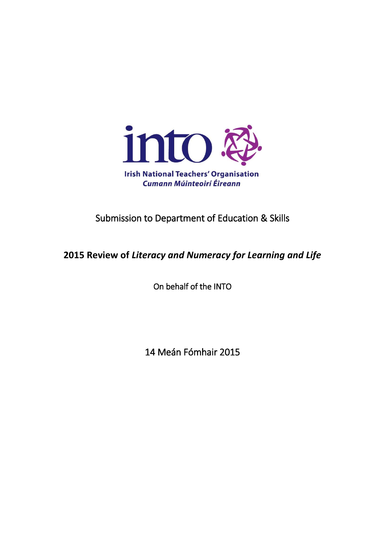

## Submission to Department of Education & Skills

**2015 Review of** *Literacy and Numeracy for Learning and Life*

On behalf of the INTO

14 Meán Fómhair 2015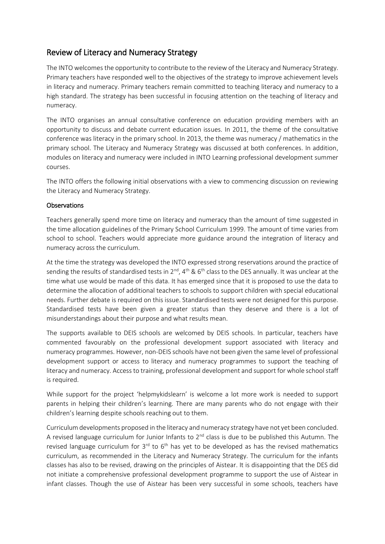## Review of Literacy and Numeracy Strategy

The INTO welcomes the opportunity to contribute to the review of the Literacy and Numeracy Strategy. Primary teachers have responded well to the objectives of the strategy to improve achievement levels in literacy and numeracy. Primary teachers remain committed to teaching literacy and numeracy to a high standard. The strategy has been successful in focusing attention on the teaching of literacy and numeracy.

The INTO organises an annual consultative conference on education providing members with an opportunity to discuss and debate current education issues. In 2011, the theme of the consultative conference was literacy in the primary school. In 2013, the theme was numeracy / mathematics in the primary school. The Literacy and Numeracy Strategy was discussed at both conferences. In addition, modules on literacy and numeracy were included in INTO Learning professional development summer courses.

The INTO offers the following initial observations with a view to commencing discussion on reviewing the Literacy and Numeracy Strategy.

## **Observations**

Teachers generally spend more time on literacy and numeracy than the amount of time suggested in the time allocation guidelines of the Primary School Curriculum 1999. The amount of time varies from school to school. Teachers would appreciate more guidance around the integration of literacy and numeracy across the curriculum.

At the time the strategy was developed the INTO expressed strong reservations around the practice of sending the results of standardised tests in  $2^{nd}$ ,  $4^{th}$  &  $6^{th}$  class to the DES annually. It was unclear at the time what use would be made of this data. It has emerged since that it is proposed to use the data to determine the allocation of additional teachers to schools to support children with special educational needs. Further debate is required on this issue. Standardised tests were not designed for this purpose. Standardised tests have been given a greater status than they deserve and there is a lot of misunderstandings about their purpose and what results mean.

The supports available to DEIS schools are welcomed by DEIS schools. In particular, teachers have commented favourably on the professional development support associated with literacy and numeracy programmes. However, non-DEIS schools have not been given the same level of professional development support or access to literacy and numeracy programmes to support the teaching of literacy and numeracy. Access to training, professional development and support for whole school staff is required.

While support for the project 'helpmykidslearn' is welcome a lot more work is needed to support parents in helping their children's learning. There are many parents who do not engage with their children's learning despite schools reaching out to them.

Curriculum developments proposed in the literacy and numeracy strategy have not yet been concluded. A revised language curriculum for Junior Infants to 2<sup>nd</sup> class is due to be published this Autumn. The revised language curriculum for  $3<sup>rd</sup>$  to  $6<sup>th</sup>$  has yet to be developed as has the revised mathematics curriculum, as recommended in the Literacy and Numeracy Strategy. The curriculum for the infants classes has also to be revised, drawing on the principles of Aistear. It is disappointing that the DES did not initiate a comprehensive professional development programme to support the use of Aistear in infant classes. Though the use of Aistear has been very successful in some schools, teachers have